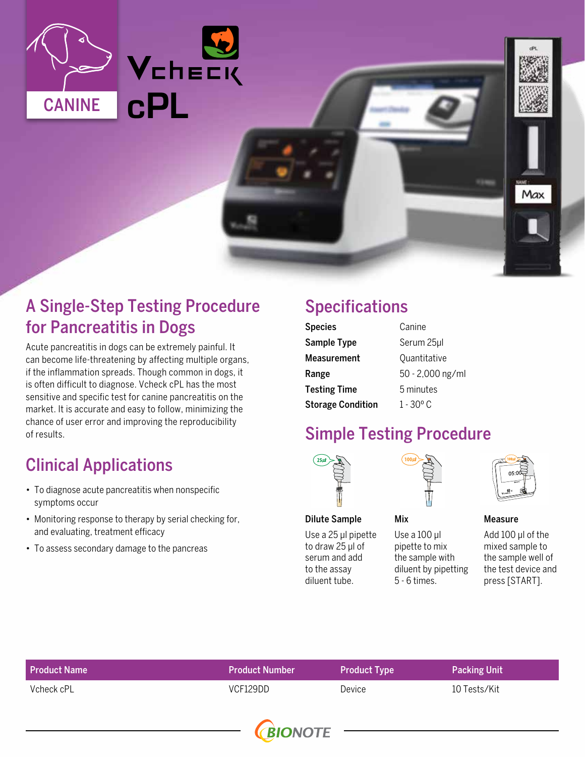

## A Single-Step Testing Procedure for Pancreatitis in Dogs

Acute pancreatitis in dogs can be extremely painful. It can become life-threatening by affecting multiple organs, if the inflammation spreads. Though common in dogs, it is often difficult to diagnose. Vcheck cPL has the most sensitive and specific test for canine pancreatitis on the market. It is accurate and easy to follow, minimizing the chance of user error and improving the reproducibility of results.

# Clinical Applications

- To diagnose acute pancreatitis when nonspecific symptoms occur
- Monitoring response to therapy by serial checking for, and evaluating, treatment efficacy
- To assess secondary damage to the pancreas

## Specifications

| <b>Species</b>           | Canine             |  |
|--------------------------|--------------------|--|
| Sample Type              | Serum 25µl         |  |
| Measurement              | Quantitative       |  |
| Range                    | 50 - 2,000 ng/ml   |  |
| <b>Testing Time</b>      | 5 minutes          |  |
| <b>Storage Condition</b> | $1 - 30^{\circ}$ C |  |

## Simple Testing Procedure



Dilute Sample

#### Mix

Use a 100 μl pipette to mix the sample with diluent by pipetting

5 - 6 times.

Use a 25 μl pipette to draw 25 μl of serum and add to the assay diluent tube.



#### Measure

Add 100 μl of the mixed sample to the sample well of the test device and press [START].

Max

| <b>Product Name</b> | <b>Product Number</b> | <b>Product Type</b> | <b>Packing Unit</b> |
|---------------------|-----------------------|---------------------|---------------------|
| Vcheck cPL          | VCF129DD              | Device              | 10 Tests/Kit        |
|                     |                       |                     |                     |

**(BIONOTE**